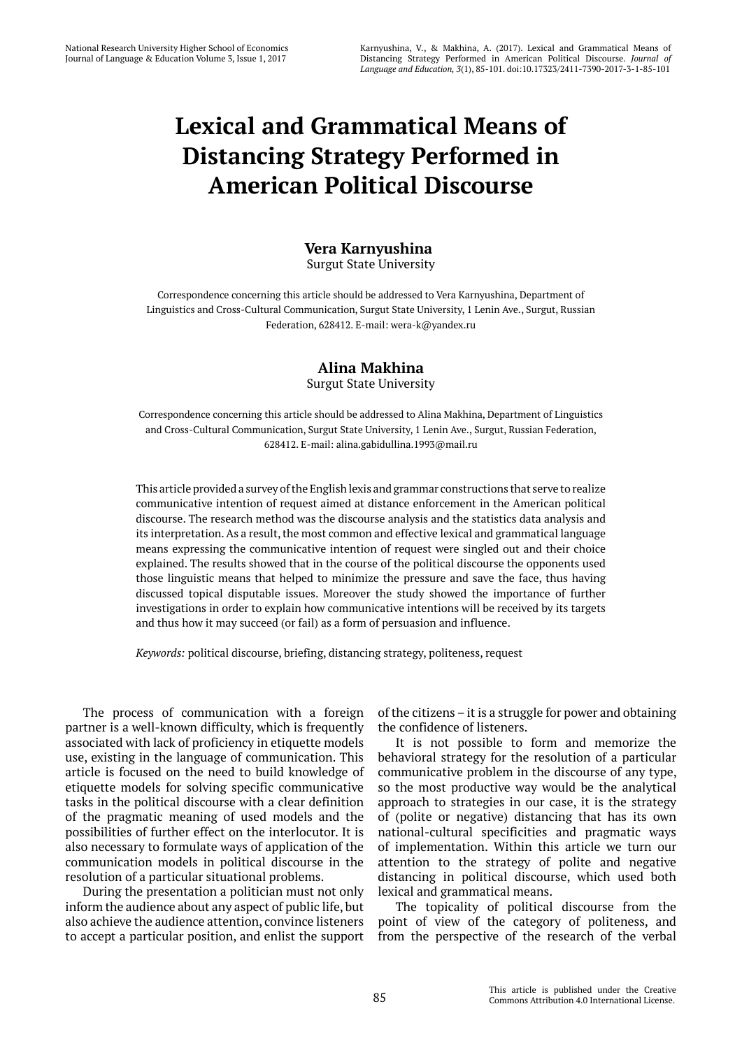# **Lexical and Grammatical Means of Distancing Strategy Performed in American Political Discourse**

## **Vera Karnyushina** Surgut State University

Correspondence concerning this article should be addressed to Vera Karnyushina, Department of Linguistics and Cross-Cultural Communication, Surgut State University, 1 Lenin Ave., Surgut, Russian Federation, 628412. E-mail: wera-k@yandex.ru

# **Alina Makhina** Surgut State University

Correspondence concerning this article should be addressed to Alina Makhina, Department of Linguistics and Cross-Cultural Communication, Surgut State University, 1 Lenin Ave., Surgut, Russian Federation, 628412. E-mail: alina.gabidullina.1993@mail.ru

This article provided a survey of the English lexis and grammar constructions that serve to realize communicative intention of request aimed at distance enforcement in the American political discourse. The research method was the discourse analysis and the statistics data analysis and its interpretation. As a result, the most common and effective lexical and grammatical language means expressing the communicative intention of request were singled out and their choice explained. The results showed that in the course of the political discourse the opponents used those linguistic means that helped to minimize the pressure and save the face, thus having discussed topical disputable issues. Moreover the study showed the importance of further investigations in order to explain how communicative intentions will be received by its targets and thus how it may succeed (or fail) as a form of persuasion and influence.

*Keywords:* political discourse, briefing, distancing strategy, politeness, request

The process of communication with a foreign partner is a well-known difficulty, which is frequently associated with lack of proficiency in etiquette models use, existing in the language of communication. This article is focused on the need to build knowledge of etiquette models for solving specific communicative tasks in the political discourse with a clear definition of the pragmatic meaning of used models and the possibilities of further effect on the interlocutor. It is also necessary to formulate ways of application of the communication models in political discourse in the resolution of a particular situational problems.

During the presentation a politician must not only inform the audience about any aspect of public life, but also achieve the audience attention, convince listeners to accept a particular position, and enlist the support of the citizens – it is a struggle for power and obtaining the confidence of listeners.

It is not possible to form and memorize the behavioral strategy for the resolution of a particular communicative problem in the discourse of any type, so the most productive way would be the analytical approach to strategies in our case, it is the strategy of (polite or negative) distancing that has its own national-cultural specificities and pragmatic ways of implementation. Within this article we turn our attention to the strategy of polite and negative distancing in political discourse, which used both lexical and grammatical means.

The topicality of political discourse from the point of view of the category of politeness, and from the perspective of the research of the verbal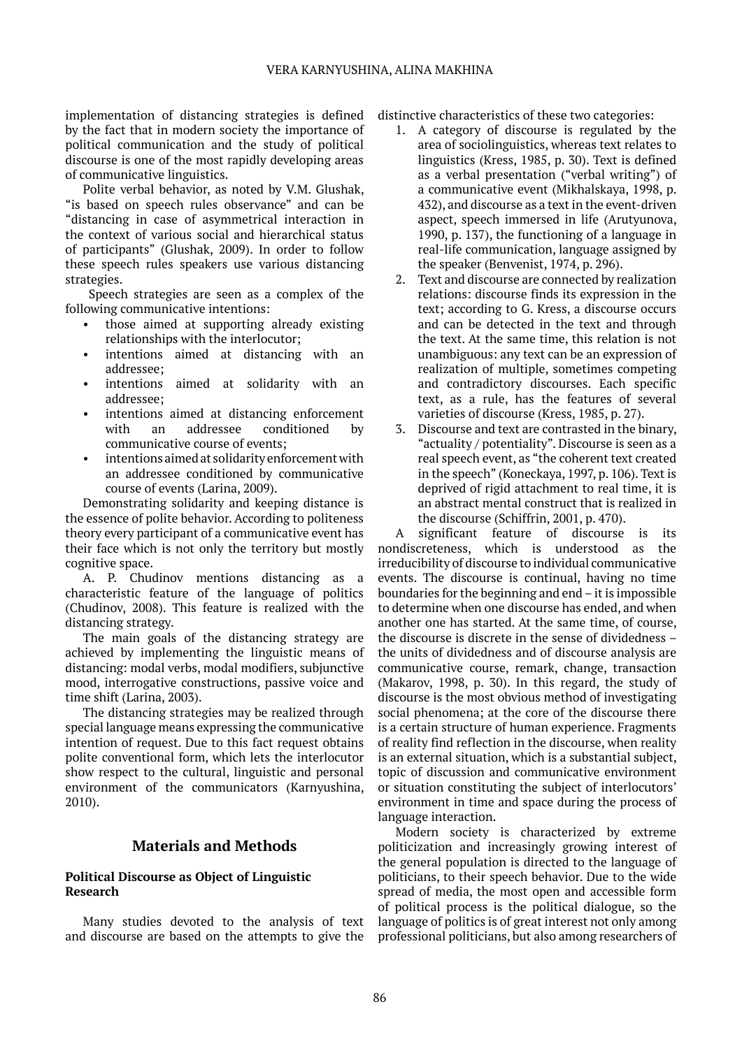implementation of distancing strategies is defined by the fact that in modern society the importance of political communication and the study of political discourse is one of the most rapidly developing areas of communicative linguistics.

Polite verbal behavior, as noted by V.M. Glushak, "is based on speech rules observance" and can be "distancing in case of asymmetrical interaction in the context of various social and hierarchical status of participants" (Glushak, 2009). In order to follow these speech rules speakers use various distancing strategies.

 Speech strategies are seen as a complex of the following communicative intentions:

- those aimed at supporting already existing relationships with the interlocutor;
- intentions aimed at distancing with an addressee;
- intentions aimed at solidarity with an addressee;
- intentions aimed at distancing enforcement with an addressee conditioned by communicative course of events;
- intentions aimed at solidarity enforcement with an addressee conditioned by communicative course of events (Larina, 2009).

Demonstrating solidarity and keeping distance is the essence of polite behavior. According to politeness theory every participant of a communicative event has their face which is not only the territory but mostly cognitive space.

A. P. Chudinov mentions distancing as a characteristic feature of the language of politics (Chudinov, 2008). This feature is realized with the distancing strategy.

The main goals of the distancing strategy are achieved by implementing the linguistic means of distancing: modal verbs, modal modifiers, subjunctive mood, interrogative constructions, passive voice and time shift (Larina, 2003).

The distancing strategies may be realized through special language means expressing the communicative intention of request. Due to this fact request obtains polite conventional form, which lets the interlocutor show respect to the cultural, linguistic and personal environment of the communicators (Karnyushina, 2010).

# **Materials and Methods**

#### **Political Discourse as Object of Linguistic Research**

Many studies devoted to the analysis of text and discourse are based on the attempts to give the distinctive characteristics of these two categories:

- 1. A category of discourse is regulated by the area of sociolinguistics, whereas text relates to linguistics (Kress, 1985, p. 30). Text is defined as a verbal presentation ("verbal writing") of a communicative event (Mikhalskaya, 1998, p. 432), and discourse as a text in the event-driven aspect, speech immersed in life (Arutyunova, 1990, p. 137), the functioning of a language in real-life communication, language assigned by the speaker (Benvenist, 1974, p. 296).
- 2. Text and discourse are connected by realization relations: discourse finds its expression in the text; according to G. Kress, a discourse occurs and can be detected in the text and through the text. At the same time, this relation is not unambiguous: any text can be an expression of realization of multiple, sometimes competing and contradictory discourses. Each specific text, as a rule, has the features of several varieties of discourse (Kress, 1985, p. 27).
- 3. Discourse and text are contrasted in the binary, "actuality / potentiality". Discourse is seen as a real speech event, as "the coherent text created in the speech" (Koneckaya, 1997, p. 106). Text is deprived of rigid attachment to real time, it is an abstract mental construct that is realized in the discourse (Schiffrin, 2001, p. 470).

A significant feature of discourse is its nondiscreteness, which is understood as the irreducibility of discourse to individual communicative events. The discourse is continual, having no time boundaries for the beginning and end – it is impossible to determine when one discourse has ended, and when another one has started. At the same time, of course, the discourse is discrete in the sense of dividedness – the units of dividedness and of discourse analysis are communicative course, remark, change, transaction (Makarov, 1998, p. 30). In this regard, the study of discourse is the most obvious method of investigating social phenomena; at the core of the discourse there is a certain structure of human experience. Fragments of reality find reflection in the discourse, when reality is an external situation, which is a substantial subject, topic of discussion and communicative environment or situation constituting the subject of interlocutors' environment in time and space during the process of language interaction.

Modern society is characterized by extreme politicization and increasingly growing interest of the general population is directed to the language of politicians, to their speech behavior. Due to the wide spread of media, the most open and accessible form of political process is the political dialogue, so the language of politics is of great interest not only among professional politicians, but also among researchers of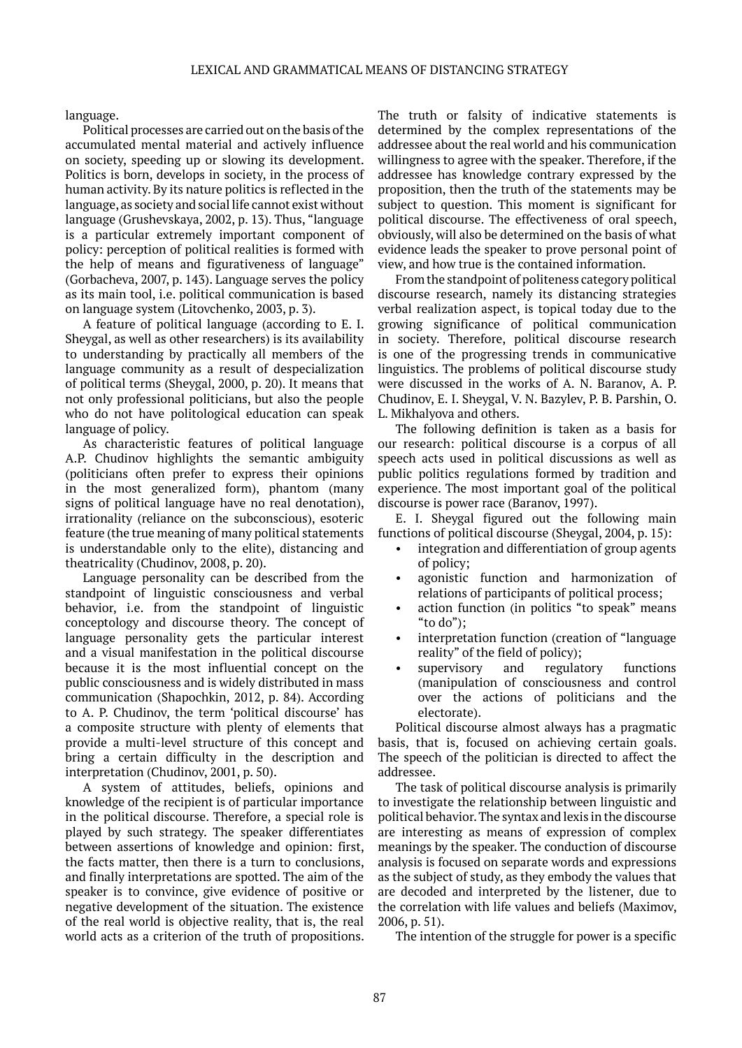language.

Political processes are carried out on the basis of the accumulated mental material and actively influence on society, speeding up or slowing its development. Politics is born, develops in society, in the process of human activity. By its nature politics is reflected in the language, as society and social life cannot exist without language (Grushevskaya, 2002, p. 13). Thus, "language is a particular extremely important component of policy: perception of political realities is formed with the help of means and figurativeness of language" (Gorbacheva, 2007, p. 143). Language serves the policy as its main tool, i.e. political communication is based on language system (Litovchenko, 2003, p. 3).

A feature of political language (according to E. I. Sheygal, as well as other researchers) is its availability to understanding by practically all members of the language community as a result of despecialization of political terms (Sheygal, 2000, p. 20). It means that not only professional politicians, but also the people who do not have politological education can speak language of policy.

As characteristic features of political language A.P. Chudinov highlights the semantic ambiguity (politicians often prefer to express their opinions in the most generalized form), phantom (many signs of political language have no real denotation), irrationality (reliance on the subconscious), esoteric feature (the true meaning of many political statements is understandable only to the elite), distancing and theatricality (Chudinov, 2008, p. 20).

Language personality can be described from the standpoint of linguistic consciousness and verbal behavior, i.e. from the standpoint of linguistic conceptology and discourse theory. The concept of language personality gets the particular interest and a visual manifestation in the political discourse because it is the most influential concept on the public consciousness and is widely distributed in mass communication (Shapochkin, 2012, p. 84). According to A. P. Chudinov, the term 'political discourse' has a composite structure with plenty of elements that provide a multi-level structure of this concept and bring a certain difficulty in the description and interpretation (Chudinov, 2001, p. 50).

A system of attitudes, beliefs, opinions and knowledge of the recipient is of particular importance in the political discourse. Therefore, a special role is played by such strategy. The speaker differentiates between assertions of knowledge and opinion: first, the facts matter, then there is a turn to conclusions, and finally interpretations are spotted. The aim of the speaker is to convince, give evidence of positive or negative development of the situation. The existence of the real world is objective reality, that is, the real world acts as a criterion of the truth of propositions. The truth or falsity of indicative statements is determined by the complex representations of the addressee about the real world and his communication willingness to agree with the speaker. Therefore, if the addressee has knowledge contrary expressed by the proposition, then the truth of the statements may be subject to question. This moment is significant for political discourse. The effectiveness of oral speech, obviously, will also be determined on the basis of what evidence leads the speaker to prove personal point of view, and how true is the contained information.

From the standpoint of politeness category political discourse research, namely its distancing strategies verbal realization aspect, is topical today due to the growing significance of political communication in society. Therefore, political discourse research is one of the progressing trends in communicative linguistics. The problems of political discourse study were discussed in the works of A. N. Baranov, A. P. Chudinov, E. I. Sheygal, V. N. Bazylev, P. B. Parshin, O. L. Mikhalyova and others.

The following definition is taken as a basis for our research: political discourse is a corpus of all speech acts used in political discussions as well as public politics regulations formed by tradition and experience. The most important goal of the political discourse is power race (Baranov, 1997).

E. I. Sheygal figured out the following main functions of political discourse (Sheygal, 2004, p. 15):

- integration and differentiation of group agents of policy;
- agonistic function and harmonization of relations of participants of political process;
- action function (in politics "to speak" means "to do");
- interpretation function (creation of "language" reality" of the field of policy);
- supervisory and regulatory functions (manipulation of consciousness and control over the actions of politicians and the electorate).

Political discourse almost always has a pragmatic basis, that is, focused on achieving certain goals. The speech of the politician is directed to affect the addressee.

The task of political discourse analysis is primarily to investigate the relationship between linguistic and political behavior. The syntax and lexis in the discourse are interesting as means of expression of complex meanings by the speaker. The conduction of discourse analysis is focused on separate words and expressions as the subject of study, as they embody the values that are decoded and interpreted by the listener, due to the correlation with life values and beliefs (Maximov, 2006, p. 51).

The intention of the struggle for power is a specific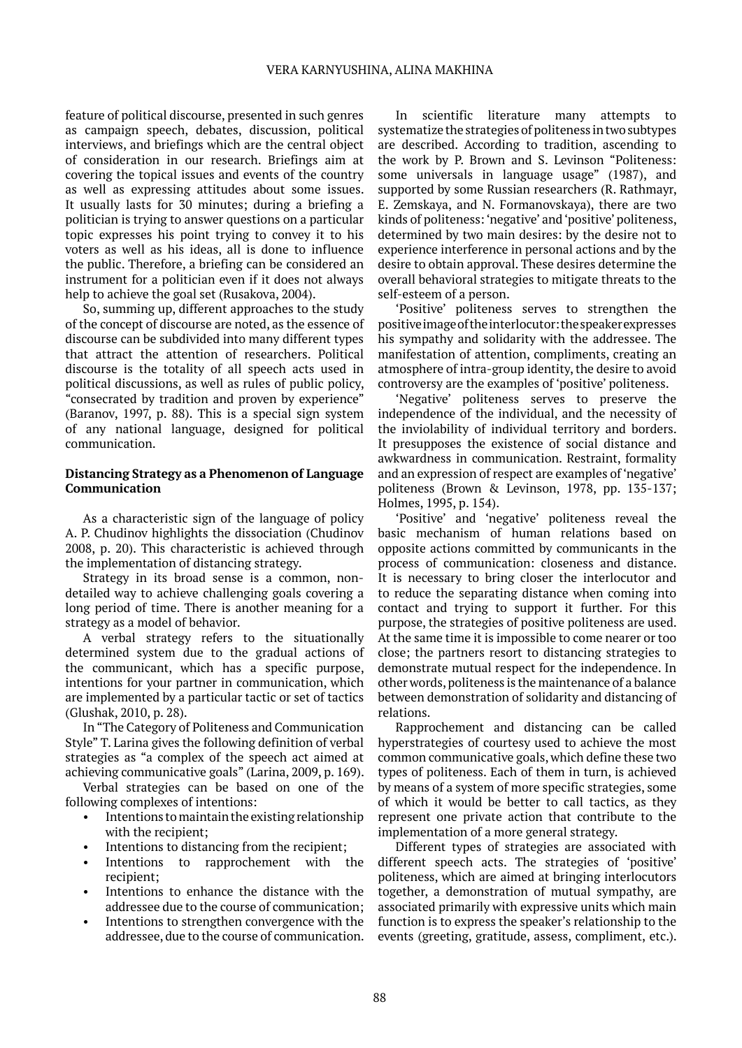feature of political discourse, presented in such genres as campaign speech, debates, discussion, political interviews, and briefings which are the central object of consideration in our research. Briefings aim at covering the topical issues and events of the country as well as expressing attitudes about some issues. It usually lasts for 30 minutes; during a briefing a politician is trying to answer questions on a particular topic expresses his point trying to convey it to his voters as well as his ideas, all is done to influence the public. Therefore, a briefing can be considered an instrument for a politician even if it does not always help to achieve the goal set (Rusakova, 2004).

So, summing up, different approaches to the study of the concept of discourse are noted, as the essence of discourse can be subdivided into many different types that attract the attention of researchers. Political discourse is the totality of all speech acts used in political discussions, as well as rules of public policy, "consecrated by tradition and proven by experience" (Baranov, 1997, p. 88). This is a special sign system of any national language, designed for political communication.

#### **Distancing Strategy as a Phenomenon of Language Communication**

As a characteristic sign of the language of policy A. P. Chudinov highlights the dissociation (Chudinov 2008, p. 20). This characteristic is achieved through the implementation of distancing strategy.

Strategy in its broad sense is a common, nondetailed way to achieve challenging goals covering a long period of time. There is another meaning for a strategy as a model of behavior.

A verbal strategy refers to the situationally determined system due to the gradual actions of the communicant, which has a specific purpose, intentions for your partner in communication, which are implemented by a particular tactic or set of tactics (Glushak, 2010, p. 28).

In "The Category of Politeness and Communication Style" T. Larina gives the following definition of verbal strategies as "a complex of the speech act aimed at achieving communicative goals" (Larina, 2009, p. 169).

Verbal strategies can be based on one of the following complexes of intentions:

- Intentions to maintain the existing relationship with the recipient;
- Intentions to distancing from the recipient;
- Intentions to rapprochement with the recipient;
- Intentions to enhance the distance with the addressee due to the course of communication;
- Intentions to strengthen convergence with the addressee, due to the course of communication.

In scientific literature many attempts to systematize the strategies of politeness in two subtypes are described. According to tradition, ascending to the work by P. Brown and S. Levinson "Politeness: some universals in language usage" (1987), and supported by some Russian researchers (R. Rathmayr, E. Zemskaya, and N. Formanovskaya), there are two kinds of politeness: 'negative' and 'positive' politeness, determined by two main desires: by the desire not to experience interference in personal actions and by the desire to obtain approval. These desires determine the overall behavioral strategies to mitigate threats to the self-esteem of a person.

'Positive' politeness serves to strengthen the positive image of the interlocutor: the speaker expresses his sympathy and solidarity with the addressee. The manifestation of attention, compliments, creating an atmosphere of intra-group identity, the desire to avoid controversy are the examples of 'positive' politeness.

'Negative' politeness serves to preserve the independence of the individual, and the necessity of the inviolability of individual territory and borders. It presupposes the existence of social distance and awkwardness in communication. Restraint, formality and an expression of respect are examples of 'negative' politeness (Brown & Levinson, 1978, pp. 135-137; Holmes, 1995, p. 154).

'Positive' and 'negative' politeness reveal the basic mechanism of human relations based on opposite actions committed by communicants in the process of communication: closeness and distance. It is necessary to bring closer the interlocutor and to reduce the separating distance when coming into contact and trying to support it further. For this purpose, the strategies of positive politeness are used. At the same time it is impossible to come nearer or too close; the partners resort to distancing strategies to demonstrate mutual respect for the independence. In other words, politeness is the maintenance of a balance between demonstration of solidarity and distancing of relations.

Rapprochement and distancing can be called hyperstrategies of courtesy used to achieve the most common communicative goals, which define these two types of politeness. Each of them in turn, is achieved by means of a system of more specific strategies, some of which it would be better to call tactics, as they represent one private action that contribute to the implementation of a more general strategy.

Different types of strategies are associated with different speech acts. The strategies of 'positive' politeness, which are aimed at bringing interlocutors together, a demonstration of mutual sympathy, are associated primarily with expressive units which main function is to express the speaker's relationship to the events (greeting, gratitude, assess, compliment, etc.).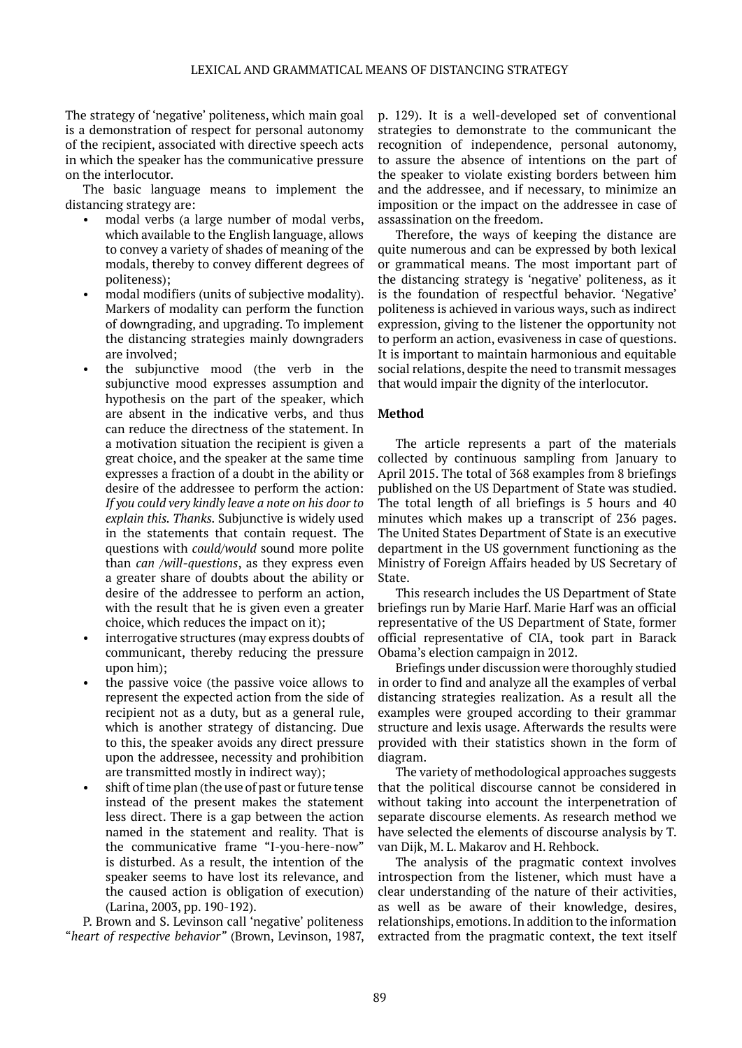The strategy of 'negative' politeness, which main goal is a demonstration of respect for personal autonomy of the recipient, associated with directive speech acts in which the speaker has the communicative pressure on the interlocutor.

The basic language means to implement the distancing strategy are:

- modal verbs (a large number of modal verbs, which available to the English language, allows to convey a variety of shades of meaning of the modals, thereby to convey different degrees of politeness);
- modal modifiers (units of subjective modality). Markers of modality can perform the function of downgrading, and upgrading. To implement the distancing strategies mainly downgraders are involved;
- the subjunctive mood (the verb in the subjunctive mood expresses assumption and hypothesis on the part of the speaker, which are absent in the indicative verbs, and thus can reduce the directness of the statement. In a motivation situation the recipient is given a great choice, and the speaker at the same time expresses a fraction of a doubt in the ability or desire of the addressee to perform the action: *If you could very kindly leave a note on his door to explain this. Thanks.* Subjunctive is widely used in the statements that contain request. The questions with *could/would* sound more polite than *can /will-questions*, as they express even a greater share of doubts about the ability or desire of the addressee to perform an action, with the result that he is given even a greater choice, which reduces the impact on it);
- interrogative structures (may express doubts of communicant, thereby reducing the pressure upon him);
- the passive voice (the passive voice allows to represent the expected action from the side of recipient not as a duty, but as a general rule, which is another strategy of distancing. Due to this, the speaker avoids any direct pressure upon the addressee, necessity and prohibition are transmitted mostly in indirect way);
- shift of time plan (the use of past or future tense instead of the present makes the statement less direct. There is a gap between the action named in the statement and reality. That is the communicative frame "I-you-here-now" is disturbed. As a result, the intention of the speaker seems to have lost its relevance, and the caused action is obligation of execution) (Larina, 2003, pp. 190-192).

P. Brown and S. Levinson call 'negative' politeness "*heart of respective behavior"* (Brown, Levinson, 1987, p. 129). It is a well-developed set of conventional strategies to demonstrate to the communicant the recognition of independence, personal autonomy, to assure the absence of intentions on the part of the speaker to violate existing borders between him and the addressee, and if necessary, to minimize an imposition or the impact on the addressee in case of assassination on the freedom.

Therefore, the ways of keeping the distance are quite numerous and can be expressed by both lexical or grammatical means. The most important part of the distancing strategy is 'negative' politeness, as it is the foundation of respectful behavior. 'Negative' politeness is achieved in various ways, such as indirect expression, giving to the listener the opportunity not to perform an action, evasiveness in case of questions. It is important to maintain harmonious and equitable social relations, despite the need to transmit messages that would impair the dignity of the interlocutor.

## **Method**

The article represents a part of the materials collected by continuous sampling from January to April 2015. The total of 368 examples from 8 briefings published on the US Department of State was studied. The total length of all briefings is 5 hours and 40 minutes which makes up a transcript of 236 pages. The United States Department of State is an executive department in the US government functioning as the Ministry of Foreign Affairs headed by US Secretary of State.

This research includes the US Department of State briefings run by Marie Harf. Marie Harf was an official representative of the US Department of State, former official representative of CIA, took part in Barack Obama's election campaign in 2012.

Briefings under discussion were thoroughly studied in order to find and analyze all the examples of verbal distancing strategies realization. As a result all the examples were grouped according to their grammar structure and lexis usage. Afterwards the results were provided with their statistics shown in the form of diagram.

The variety of methodological approaches suggests that the political discourse cannot be considered in without taking into account the interpenetration of separate discourse elements. As research method we have selected the elements of discourse analysis by T. van Dijk, M. L. Makarov and H. Rehbock.

The analysis of the pragmatic context involves introspection from the listener, which must have a clear understanding of the nature of their activities, as well as be aware of their knowledge, desires, relationships, emotions. In addition to the information extracted from the pragmatic context, the text itself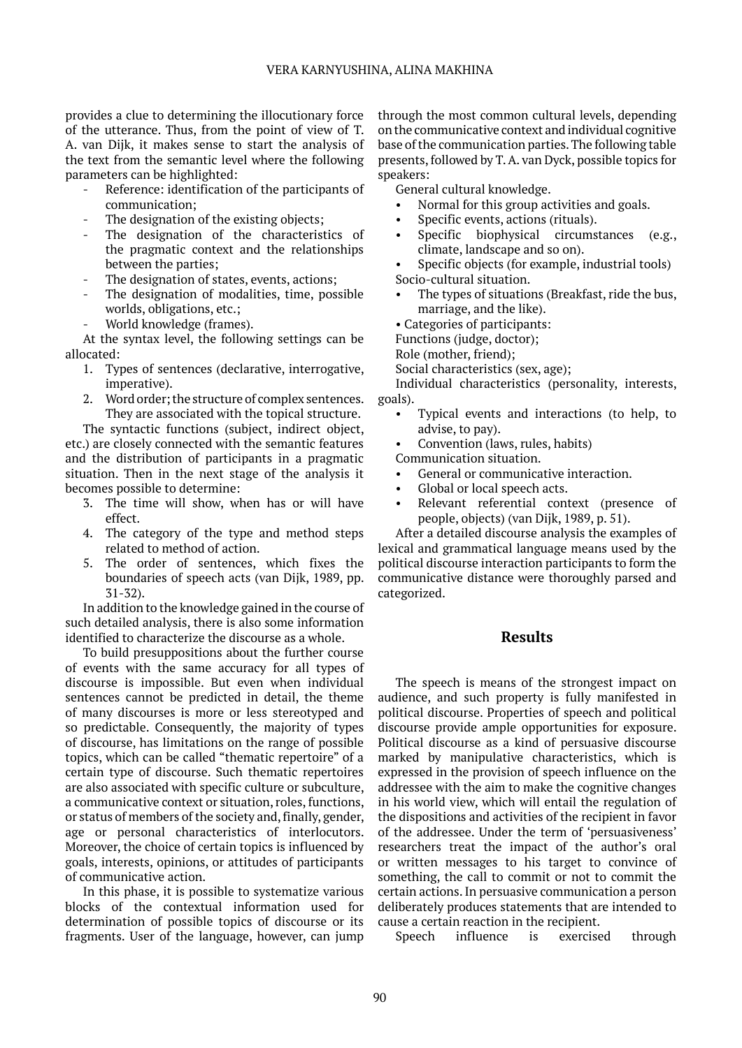provides a clue to determining the illocutionary force of the utterance. Thus, from the point of view of T. A. van Dijk, it makes sense to start the analysis of the text from the semantic level where the following parameters can be highlighted:

- Reference: identification of the participants of communication;
- The designation of the existing objects;
- The designation of the characteristics of the pragmatic context and the relationships between the parties;
- The designation of states, events, actions;
- The designation of modalities, time, possible worlds, obligations, etc.;
- World knowledge (frames).

At the syntax level, the following settings can be allocated:

- 1. Types of sentences (declarative, interrogative, imperative).
- 2. Word order; the structure of complex sentences. They are associated with the topical structure.

The syntactic functions (subject, indirect object, etc.) are closely connected with the semantic features and the distribution of participants in a pragmatic situation. Then in the next stage of the analysis it becomes possible to determine:

- 3. The time will show, when has or will have effect.
- 4. The category of the type and method steps related to method of action.
- 5. The order of sentences, which fixes the boundaries of speech acts (van Dijk, 1989, pp. 31-32).

In addition to the knowledge gained in the course of such detailed analysis, there is also some information identified to characterize the discourse as a whole.

To build presuppositions about the further course of events with the same accuracy for all types of discourse is impossible. But even when individual sentences cannot be predicted in detail, the theme of many discourses is more or less stereotyped and so predictable. Consequently, the majority of types of discourse, has limitations on the range of possible topics, which can be called "thematic repertoire" of a certain type of discourse. Such thematic repertoires are also associated with specific culture or subculture, a communicative context or situation, roles, functions, or status of members of the society and, finally, gender, age or personal characteristics of interlocutors. Moreover, the choice of certain topics is influenced by goals, interests, opinions, or attitudes of participants of communicative action.

In this phase, it is possible to systematize various blocks of the contextual information used for determination of possible topics of discourse or its fragments. User of the language, however, can jump

through the most common cultural levels, depending on the communicative context and individual cognitive base of the communication parties. The following table presents, followed by T. A. van Dyck, possible topics for speakers:

General cultural knowledge.

- Normal for this group activities and goals.
- Specific events, actions (rituals).
- Specific biophysical circumstances (e.g., climate, landscape and so on).

Specific objects (for example, industrial tools) Socio-cultural situation.

The types of situations (Breakfast, ride the bus, marriage, and the like).

• Categories of participants:

Functions (judge, doctor);

Role (mother, friend);

Social characteristics (sex, age);

Individual characteristics (personality, interests, goals).

• Typical events and interactions (to help, to advise, to pay).

• Convention (laws, rules, habits)

Communication situation.

- General or communicative interaction.
- Global or local speech acts.
- Relevant referential context (presence of people, objects) (van Dijk, 1989, p. 51).

After a detailed discourse analysis the examples of lexical and grammatical language means used by the political discourse interaction participants to form the communicative distance were thoroughly parsed and categorized.

## **Results**

The speech is means of the strongest impact on audience, and such property is fully manifested in political discourse. Properties of speech and political discourse provide ample opportunities for exposure. Political discourse as a kind of persuasive discourse marked by manipulative characteristics, which is expressed in the provision of speech influence on the addressee with the aim to make the cognitive changes in his world view, which will entail the regulation of the dispositions and activities of the recipient in favor of the addressee. Under the term of 'persuasiveness' researchers treat the impact of the author's oral or written messages to his target to convince of something, the call to commit or not to commit the certain actions. In persuasive communication a person deliberately produces statements that are intended to cause a certain reaction in the recipient.

Speech influence is exercised through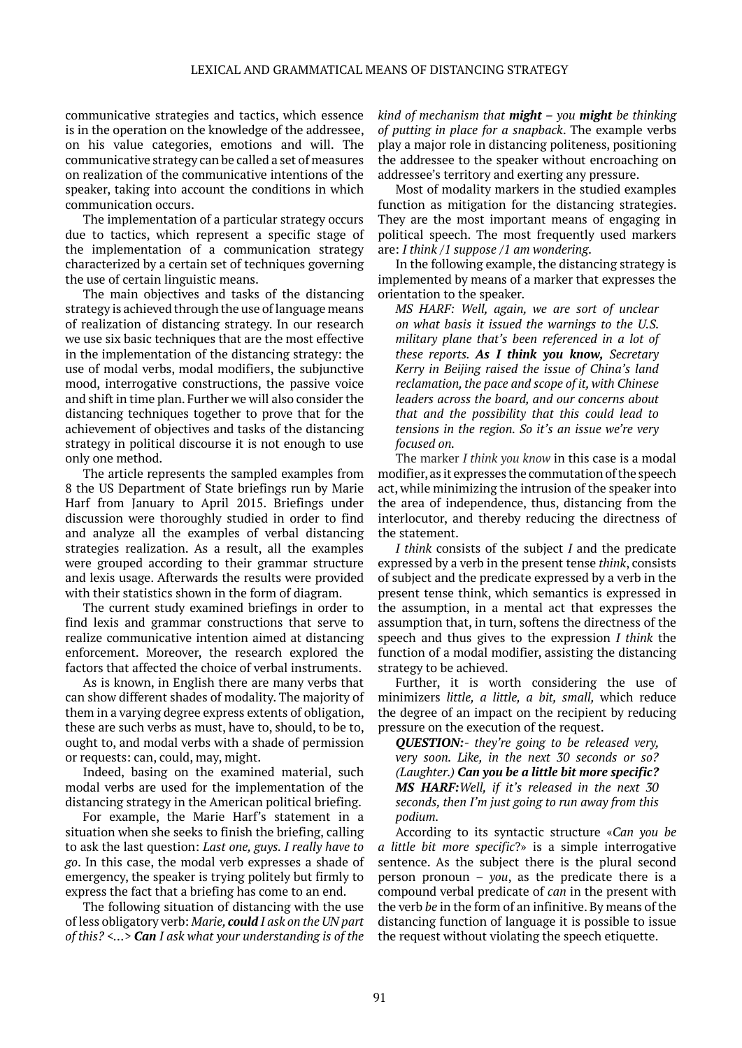communicative strategies and tactics, which essence is in the operation on the knowledge of the addressee, on his value categories, emotions and will. The communicative strategy can be called a set of measures on realization of the communicative intentions of the speaker, taking into account the conditions in which communication occurs.

The implementation of a particular strategy occurs due to tactics, which represent a specific stage of the implementation of a communication strategy characterized by a certain set of techniques governing the use of certain linguistic means.

The main objectives and tasks of the distancing strategy is achieved through the use of language means of realization of distancing strategy. In our research we use six basic techniques that are the most effective in the implementation of the distancing strategy: the use of modal verbs, modal modifiers, the subjunctive mood, interrogative constructions, the passive voice and shift in time plan. Further we will also consider the distancing techniques together to prove that for the achievement of objectives and tasks of the distancing strategy in political discourse it is not enough to use only one method.

The article represents the sampled examples from 8 the US Department of State briefings run by Marie Harf from January to April 2015. Briefings under discussion were thoroughly studied in order to find and analyze all the examples of verbal distancing strategies realization. As a result, all the examples were grouped according to their grammar structure and lexis usage. Afterwards the results were provided with their statistics shown in the form of diagram.

The current study examined briefings in order to find lexis and grammar constructions that serve to realize communicative intention aimed at distancing enforcement. Moreover, the research explored the factors that affected the choice of verbal instruments.

As is known, in English there are many verbs that can show different shades of modality. The majority of them in a varying degree express extents of obligation, these are such verbs as must, have to, should, to be to, ought to, and modal verbs with a shade of permission or requests: can, could, may, might.

Indeed, basing on the examined material, such modal verbs are used for the implementation of the distancing strategy in the American political briefing.

For example, the Marie Harf's statement in a situation when she seeks to finish the briefing, calling to ask the last question: *Last one, guys. I really have to go*. In this case, the modal verb expresses a shade of emergency, the speaker is trying politely but firmly to express the fact that a briefing has come to an end.

The following situation of distancing with the use of less obligatory verb: *Marie, could I ask on the UN part of this? <…> Can I ask what your understanding is of the* 

*kind of mechanism that might – you might be thinking of putting in place for a snapback*. The example verbs play a major role in distancing politeness, positioning the addressee to the speaker without encroaching on addressee's territory and exerting any pressure.

Most of modality markers in the studied examples function as mitigation for the distancing strategies. They are the most important means of engaging in political speech. The most frequently used markers are: *I think /1 suppose /1 am wondering*.

In the following example, the distancing strategy is implemented by means of a marker that expresses the orientation to the speaker.

*MS HARF: Well, again, we are sort of unclear on what basis it issued the warnings to the U.S. military plane that's been referenced in a lot of these reports. As I think you know, Secretary Kerry in Beijing raised the issue of China's land reclamation, the pace and scope of it, with Chinese leaders across the board, and our concerns about that and the possibility that this could lead to tensions in the region. So it's an issue we're very focused on.*

The marker *I think you know* in this case is a modal modifier, as it expresses the commutation of the speech act, while minimizing the intrusion of the speaker into the area of independence, thus, distancing from the interlocutor, and thereby reducing the directness of the statement.

*I think* consists of the subject *I* and the predicate expressed by a verb in the present tense *think*, consists of subject and the predicate expressed by a verb in the present tense think, which semantics is expressed in the assumption, in a mental act that expresses the assumption that, in turn, softens the directness of the speech and thus gives to the expression *I think* the function of a modal modifier, assisting the distancing strategy to be achieved.

Further, it is worth considering the use of minimizers *little, a little, a bit, small,* which reduce the degree of an impact on the recipient by reducing pressure on the execution of the request.

*QUESTION:- they're going to be released very, very soon. Like, in the next 30 seconds or so? (Laughter.) Can you be a little bit more specific? MS HARF:Well, if it's released in the next 30 seconds, then I'm just going to run away from this podium.*

According to its syntactic structure «*Can you be a little bit more specific*?» is a simple interrogative sentence. As the subject there is the plural second person pronoun – *you*, as the predicate there is a compound verbal predicate of *can* in the present with the verb *be* in the form of an infinitive. By means of the distancing function of language it is possible to issue the request without violating the speech etiquette.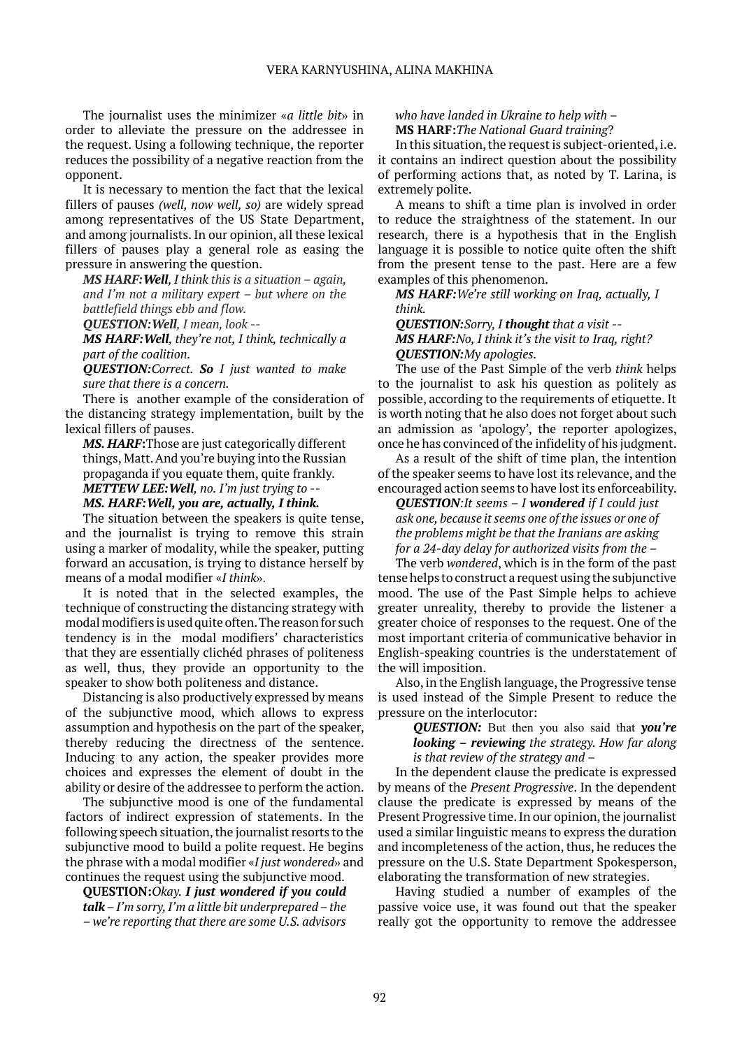The journalist uses the minimizer «*a little bit*» in order to alleviate the pressure on the addressee in the request. Using a following technique, the reporter reduces the possibility of a negative reaction from the opponent.

It is necessary to mention the fact that the lexical fillers of pauses *(well, now well, so)* are widely spread among representatives of the US State Department, and among journalists. In our opinion, all these lexical fillers of pauses play a general role as easing the pressure in answering the question.

*MS HARF:Well, I think this is a situation – again, and I'm not a military expert – but where on the battlefield things ebb and flow.* 

*QUESTION:Well, I mean, look --*

*MS HARF:Well, they're not, I think, technically a part of the coalition.* 

*QUESTION:Correct. So I just wanted to make sure that there is a concern.*

There is another example of the consideration of the distancing strategy implementation, built by the lexical fillers of pauses.

*MS. HARF***:**Those are just categorically different things, Matt. And you're buying into the Russian propaganda if you equate them, quite frankly. *METTEW LEE:Well, no. I'm just trying to -- MS. HARF:Well, you are, actually, I think.*

The situation between the speakers is quite tense, and the journalist is trying to remove this strain using a marker of modality, while the speaker, putting forward an accusation, is trying to distance herself by means of a modal modifier «*I think*».

It is noted that in the selected examples, the technique of constructing the distancing strategy with modal modifiers is used quite often. The reason for such tendency is in the modal modifiers' characteristics that they are essentially clichéd phrases of politeness as well, thus, they provide an opportunity to the speaker to show both politeness and distance.

Distancing is also productively expressed by means of the subjunctive mood, which allows to express assumption and hypothesis on the part of the speaker, thereby reducing the directness of the sentence. Inducing to any action, the speaker provides more choices and expresses the element of doubt in the ability or desire of the addressee to perform the action.

The subjunctive mood is one of the fundamental factors of indirect expression of statements. In the following speech situation, the journalist resorts to the subjunctive mood to build a polite request. He begins the phrase with a modal modifier «*I just wondered*» and continues the request using the subjunctive mood.

**QUESTION:***Okay. I just wondered if you could talk – I'm sorry, I'm a little bit underprepared – the – we're reporting that there are some U.S. advisors* 

*who have landed in Ukraine to help with –* **MS HARF:***The National Guard training*?

In this situation, the request is subject-oriented, i.e. it contains an indirect question about the possibility of performing actions that, as noted by T. Larina, is extremely polite.

A means to shift a time plan is involved in order to reduce the straightness of the statement. In our research, there is a hypothesis that in the English language it is possible to notice quite often the shift from the present tense to the past. Here are a few examples of this phenomenon.

*MS HARF:We're still working on Iraq, actually, I think.*

*QUESTION:Sorry, I thought that a visit -- MS HARF:No, I think it's the visit to Iraq, right? QUESTION:My apologies.*

The use of the Past Simple of the verb *think* helps to the journalist to ask his question as politely as possible, according to the requirements of etiquette. It is worth noting that he also does not forget about such an admission as 'apology', the reporter apologizes, once he has convinced of the infidelity of his judgment.

As a result of the shift of time plan, the intention of the speaker seems to have lost its relevance, and the encouraged action seems to have lost its enforceability.

*QUESTION:It seems – I wondered if I could just ask one, because it seems one of the issues or one of the problems might be that the Iranians are asking for a 24-day delay for authorized visits from the –*

The verb *wondered*, which is in the form of the past tense helps to construct a request using the subjunctive mood. The use of the Past Simple helps to achieve greater unreality, thereby to provide the listener a greater choice of responses to the request. One of the most important criteria of communicative behavior in English-speaking countries is the understatement of the will imposition.

Also, in the English language, the Progressive tense is used instead of the Simple Present to reduce the pressure on the interlocutor:

> *QUESTION:* But then you also said that *you're looking – reviewing the strategy. How far along is that review of the strategy and –*

In the dependent clause the predicate is expressed by means of the *Present Progressive*. In the dependent clause the predicate is expressed by means of the Present Progressive time. In our opinion, the journalist used a similar linguistic means to express the duration and incompleteness of the action, thus, he reduces the pressure on the U.S. State Department Spokesperson, elaborating the transformation of new strategies.

Having studied a number of examples of the passive voice use, it was found out that the speaker really got the opportunity to remove the addressee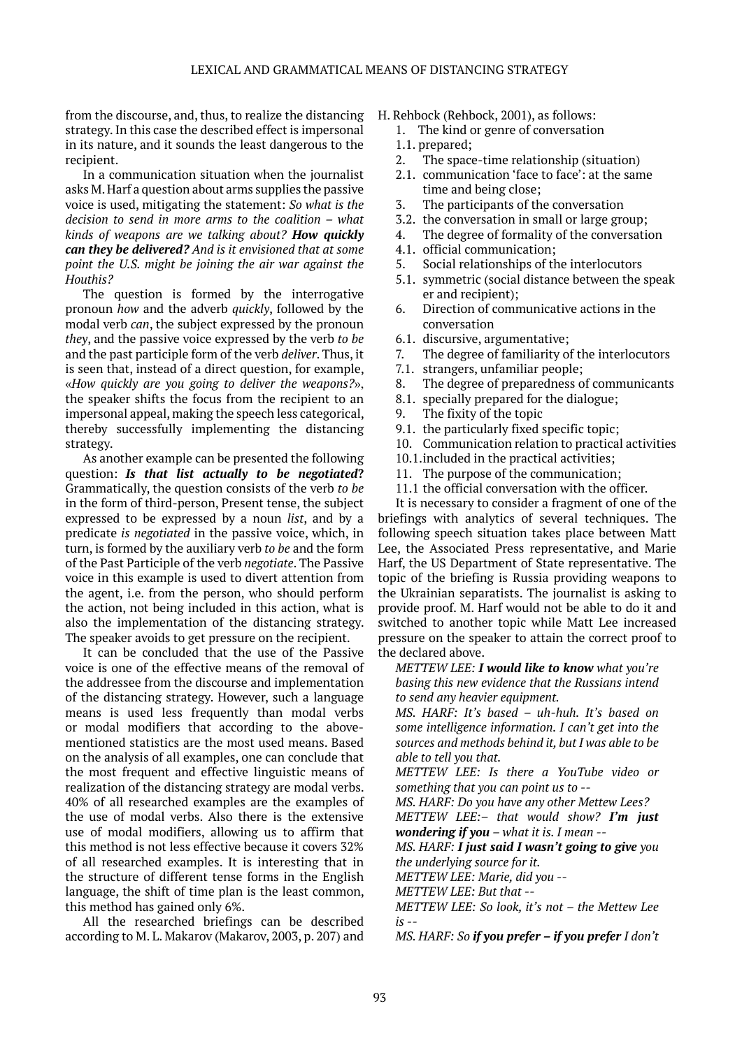from the discourse, and, thus, to realize the distancing strategy. In this case the described effect is impersonal in its nature, and it sounds the least dangerous to the recipient.

In a communication situation when the journalist asks M. Harf a question about arms supplies the passive voice is used, mitigating the statement: *So what is the decision to send in more arms to the coalition – what kinds of weapons are we talking about? How quickly can they be delivered? And is it envisioned that at some point the U.S. might be joining the air war against the Houthis?*

The question is formed by the interrogative pronoun *how* and the adverb *quickly*, followed by the modal verb *can*, the subject expressed by the pronoun *they*, and the passive voice expressed by the verb *to be* and the past participle form of the verb *deliver*. Thus, it is seen that, instead of a direct question, for example, «*How quickly are you going to deliver the weapons?*», the speaker shifts the focus from the recipient to an impersonal appeal, making the speech less categorical, thereby successfully implementing the distancing strategy.

As another example can be presented the following question: *Is that list actually to be negotiated***?** Grammatically, the question consists of the verb *to be* in the form of third-person, Present tense, the subject expressed to be expressed by a noun *list*, and by a predicate *is negotiated* in the passive voice, which, in turn, is formed by the auxiliary verb *to be* and the form of the Past Participle of the verb *negotiate*. The Passive voice in this example is used to divert attention from the agent, i.e. from the person, who should perform the action, not being included in this action, what is also the implementation of the distancing strategy. The speaker avoids to get pressure on the recipient.

It can be concluded that the use of the Passive voice is one of the effective means of the removal of the addressee from the discourse and implementation of the distancing strategy. However, such a language means is used less frequently than modal verbs or modal modifiers that according to the abovementioned statistics are the most used means. Based on the analysis of all examples, one can conclude that the most frequent and effective linguistic means of realization of the distancing strategy are modal verbs. 40% of all researched examples are the examples of the use of modal verbs. Also there is the extensive use of modal modifiers, allowing us to affirm that this method is not less effective because it covers 32% of all researched examples. It is interesting that in the structure of different tense forms in the English language, the shift of time plan is the least common, this method has gained only 6%.

All the researched briefings can be described according to M. L. Makarov (Makarov, 2003, p. 207) and

- H. Rehbock (Rehbock, 2001), as follows:
	- 1. The kind or genre of conversation
	- 1.1. prepared;
	- 2. The space-time relationship (situation)
	- 2.1. communication 'face to face': at the same time and being close;
	- 3. The participants of the conversation
	- 3.2. the conversation in small or large group;
	- 4. The degree of formality of the conversation
	- 4.1. official communication;
	- 5. Social relationships of the interlocutors
	- 5.1. symmetric (social distance between the speak er and recipient);
	- 6. Direction of communicative actions in the conversation
	- 6.1. discursive, argumentative;
	- 7. The degree of familiarity of the interlocutors
	- 7.1. strangers, unfamiliar people;
	- 8. The degree of preparedness of communicants
	- 8.1. specially prepared for the dialogue;
	- 9. The fixity of the topic
	- 9.1. the particularly fixed specific topic;
	- 10. Communication relation to practical activities
	- 10.1.included in the practical activities;
	- 11. The purpose of the communication;
	- 11.1 the official conversation with the officer.

It is necessary to consider a fragment of one of the briefings with analytics of several techniques. The following speech situation takes place between Matt Lee, the Associated Press representative, and Marie Harf, the US Department of State representative. The topic of the briefing is Russia providing weapons to the Ukrainian separatists. The journalist is asking to provide proof. M. Harf would not be able to do it and switched to another topic while Matt Lee increased pressure on the speaker to attain the correct proof to the declared above.

*METTEW LEE: I would like to know what you're basing this new evidence that the Russians intend to send any heavier equipment.*

*MS. HARF: It's based – uh-huh. It's based on some intelligence information. I can't get into the sources and methods behind it, but I was able to be able to tell you that.*

*METTEW LEE: Is there a YouTube video or something that you can point us to --*

*MS. HARF: Do you have any other Mettew Lees?*

*METTEW LEE:– that would show? I'm just wondering if you – what it is. I mean --*

*MS. HARF: I just said I wasn't going to give you the underlying source for it.*

*METTEW LEE: Marie, did you --*

*METTEW LEE: But that --*

*METTEW LEE: So look, it's not – the Mettew Lee is --*

*MS. HARF: So if you prefer – if you prefer I don't*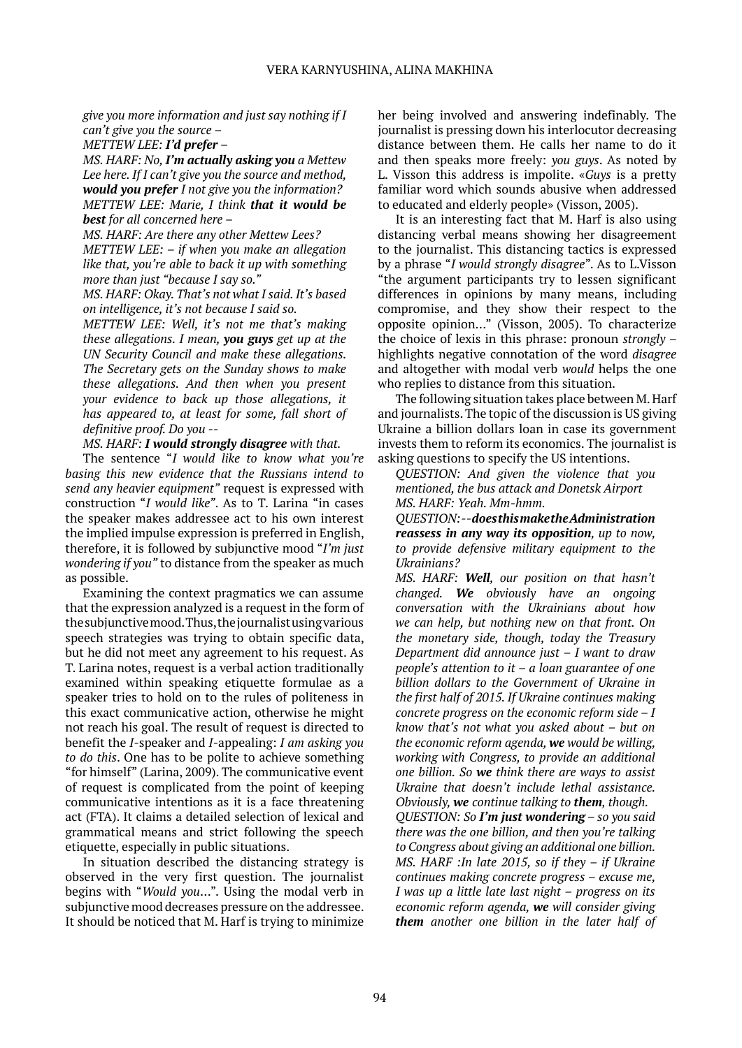*give you more information and just say nothing if I can't give you the source –*

*METTEW LEE: I'd prefer –*

*MS. HARF: No, I'm actually asking you a Mettew Lee here. If I can't give you the source and method, would you prefer I not give you the information? METTEW LEE: Marie, I think that it would be best for all concerned here –*

*MS. HARF: Are there any other Mettew Lees? METTEW LEE: – if when you make an allegation like that, you're able to back it up with something more than just "because I say so."*

*MS. HARF: Okay. That's not what I said. It's based on intelligence, it's not because I said so.*

*METTEW LEE: Well, it's not me that's making these allegations. I mean, you guys get up at the UN Security Council and make these allegations. The Secretary gets on the Sunday shows to make these allegations. And then when you present your evidence to back up those allegations, it has appeared to, at least for some, fall short of definitive proof. Do you --*

*MS. HARF: I would strongly disagree with that.*

The sentence "*I would like to know what you're basing this new evidence that the Russians intend to send any heavier equipment"* request is expressed with construction "*I would like"*. As to T. Larina "in cases the speaker makes addressee act to his own interest the implied impulse expression is preferred in English, therefore, it is followed by subjunctive mood "*I'm just wondering if you"* to distance from the speaker as much as possible.

Examining the context pragmatics we can assume that the expression analyzed is a request in the form of the subjunctive mood. Thus, the journalist using various speech strategies was trying to obtain specific data, but he did not meet any agreement to his request. As T. Larina notes, request is a verbal action traditionally examined within speaking etiquette formulae as a speaker tries to hold on to the rules of politeness in this exact communicative action, otherwise he might not reach his goal. The result of request is directed to benefit the *I-*speaker and *I-*appealing: *I am asking you to do this*. One has to be polite to achieve something "for himself" (Larina, 2009). The communicative event of request is complicated from the point of keeping communicative intentions as it is a face threatening act (FTA). It claims a detailed selection of lexical and grammatical means and strict following the speech etiquette, especially in public situations.

In situation described the distancing strategy is observed in the very first question. The journalist begins with "*Would you*…". Using the modal verb in subjunctive mood decreases pressure on the addressee. It should be noticed that M. Harf is trying to minimize

her being involved and answering indefinably. The journalist is pressing down his interlocutor decreasing distance between them. He calls her name to do it and then speaks more freely: *you guys*. As noted by L. Visson this address is impolite. «*Guys* is a pretty familiar word which sounds abusive when addressed to educated and elderly people» (Visson, 2005).

It is an interesting fact that M. Harf is also using distancing verbal means showing her disagreement to the journalist. This distancing tactics is expressed by a phrase "*I would strongly disagree*". As to L.Visson "the argument participants try to lessen significant differences in opinions by many means, including compromise, and they show their respect to the opposite opinion…" (Visson, 2005). To characterize the choice of lexis in this phrase: pronoun *strongly* – highlights negative connotation of the word *disagree* and altogether with modal verb *would* helps the one who replies to distance from this situation.

The following situation takes place between M. Harf and journalists. The topic of the discussion is US giving Ukraine a billion dollars loan in case its government invests them to reform its economics. The journalist is asking questions to specify the US intentions.

*QUESTION: And given the violence that you mentioned, the bus attack and Donetsk Airport MS. HARF: Yeah. Mm-hmm.*

*QUESTION: -- does this make the Administration reassess in any way its opposition, up to now, to provide defensive military equipment to the Ukrainians?*

*MS. HARF: Well, our position on that hasn't changed. We obviously have an ongoing conversation with the Ukrainians about how we can help, but nothing new on that front. On the monetary side, though, today the Treasury Department did announce just – I want to draw people's attention to it – a loan guarantee of one billion dollars to the Government of Ukraine in the first half of 2015. If Ukraine continues making concrete progress on the economic reform side – I know that's not what you asked about – but on the economic reform agenda, we would be willing, working with Congress, to provide an additional one billion. So we think there are ways to assist Ukraine that doesn't include lethal assistance. Obviously, we continue talking to them, though.*

*QUESTION: So I'm just wondering – so you said there was the one billion, and then you're talking to Congress about giving an additional one billion. MS. HARF :In late 2015, so if they – if Ukraine continues making concrete progress – excuse me, I was up a little late last night – progress on its economic reform agenda, we will consider giving them another one billion in the later half of*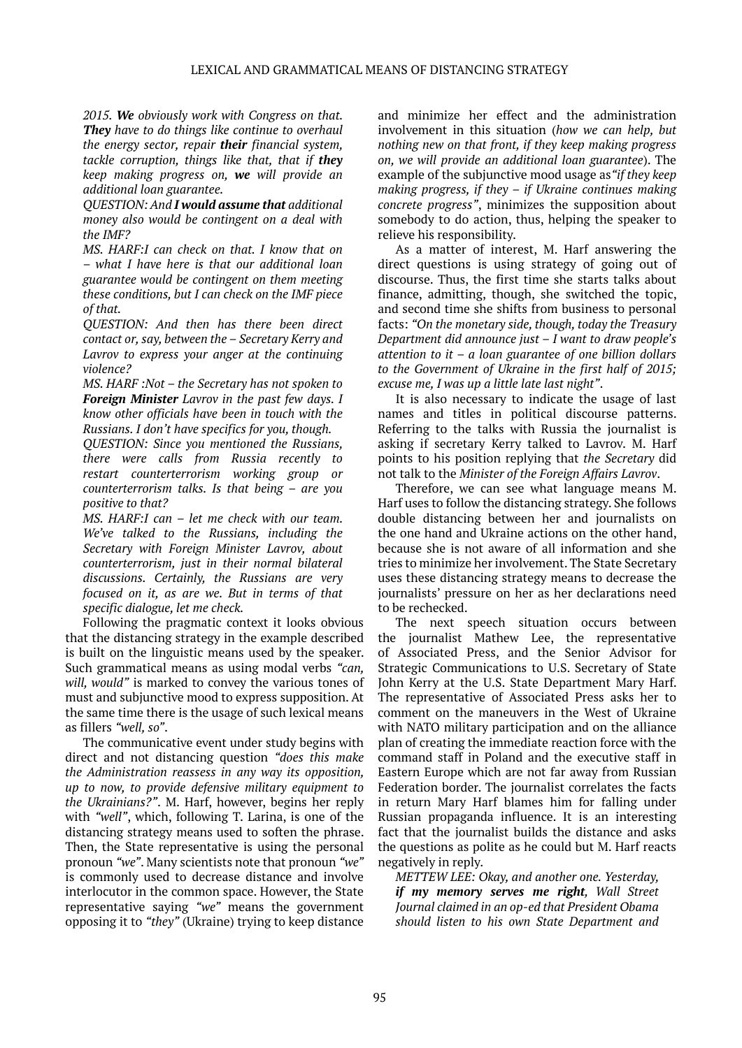*2015. We obviously work with Congress on that. They have to do things like continue to overhaul the energy sector, repair their financial system, tackle corruption, things like that, that if they keep making progress on, we will provide an additional loan guarantee.*

*QUESTION: And I would assume that additional money also would be contingent on a deal with the IMF?*

*MS. HARF:I can check on that. I know that on – what I have here is that our additional loan guarantee would be contingent on them meeting these conditions, but I can check on the IMF piece of that.*

*QUESTION: And then has there been direct contact or, say, between the – Secretary Kerry and Lavrov to express your anger at the continuing violence?*

*MS. HARF :Not – the Secretary has not spoken to Foreign Minister Lavrov in the past few days. I know other officials have been in touch with the Russians. I don't have specifics for you, though.*

*QUESTION: Since you mentioned the Russians, there were calls from Russia recently to restart counterterrorism working group or counterterrorism talks. Is that being – are you positive to that?*

*MS. HARF:I can – let me check with our team. We've talked to the Russians, including the Secretary with Foreign Minister Lavrov, about counterterrorism, just in their normal bilateral discussions. Certainly, the Russians are very focused on it, as are we. But in terms of that specific dialogue, let me check.*

Following the pragmatic context it looks obvious that the distancing strategy in the example described is built on the linguistic means used by the speaker. Such grammatical means as using modal verbs *"can, will, would"* is marked to convey the various tones of must and subjunctive mood to express supposition. At the same time there is the usage of such lexical means as fillers *"well, so"*.

The communicative event under study begins with direct and not distancing question *"does this make the Administration reassess in any way its opposition, up to now, to provide defensive military equipment to the Ukrainians?"*. M. Harf, however, begins her reply with *"well"*, which, following T. Larina, is one of the distancing strategy means used to soften the phrase. Then, the State representative is using the personal pronoun *"we"*. Many scientists note that pronoun *"we"* is commonly used to decrease distance and involve interlocutor in the common space. However, the State representative saying *"we"* means the government opposing it to *"they"* (Ukraine) trying to keep distance

and minimize her effect and the administration involvement in this situation (*how we can help, but nothing new on that front, if they keep making progress on, we will provide an additional loan guarantee*). The example of the subjunctive mood usage as*"if they keep making progress, if they – if Ukraine continues making concrete progress"*, minimizes the supposition about somebody to do action, thus, helping the speaker to relieve his responsibility.

As a matter of interest, M. Harf answering the direct questions is using strategy of going out of discourse. Thus, the first time she starts talks about finance, admitting, though, she switched the topic, and second time she shifts from business to personal facts: *"On the monetary side, though, today the Treasury Department did announce just – I want to draw people's attention to it – a loan guarantee of one billion dollars to the Government of Ukraine in the first half of 2015; excuse me, I was up a little late last night"*.

It is also necessary to indicate the usage of last names and titles in political discourse patterns. Referring to the talks with Russia the journalist is asking if secretary Kerry talked to Lavrov. M. Harf points to his position replying that *the Secretary* did not talk to the *Minister of the Foreign Affairs Lavrov*.

Therefore, we can see what language means M. Harf uses to follow the distancing strategy. She follows double distancing between her and journalists on the one hand and Ukraine actions on the other hand, because she is not aware of all information and she tries to minimize her involvement. The State Secretary uses these distancing strategy means to decrease the journalists' pressure on her as her declarations need to be rechecked.

The next speech situation occurs between the journalist Mathew Lee, the representative of Associated Press, and the Senior Advisor for Strategic Communications to U.S. Secretary of State John Kerry at the U.S. State Department Mary Harf. The representative of Associated Press asks her to comment on the maneuvers in the West of Ukraine with NATO military participation and on the alliance plan of creating the immediate reaction force with the command staff in Poland and the executive staff in Eastern Europe which are not far away from Russian Federation border. The journalist correlates the facts in return Mary Harf blames him for falling under Russian propaganda influence. It is an interesting fact that the journalist builds the distance and asks the questions as polite as he could but M. Harf reacts negatively in reply.

*METTEW LEE: Okay, and another one. Yesterday, if my memory serves me right, Wall Street Journal claimed in an op-ed that President Obama should listen to his own State Department and*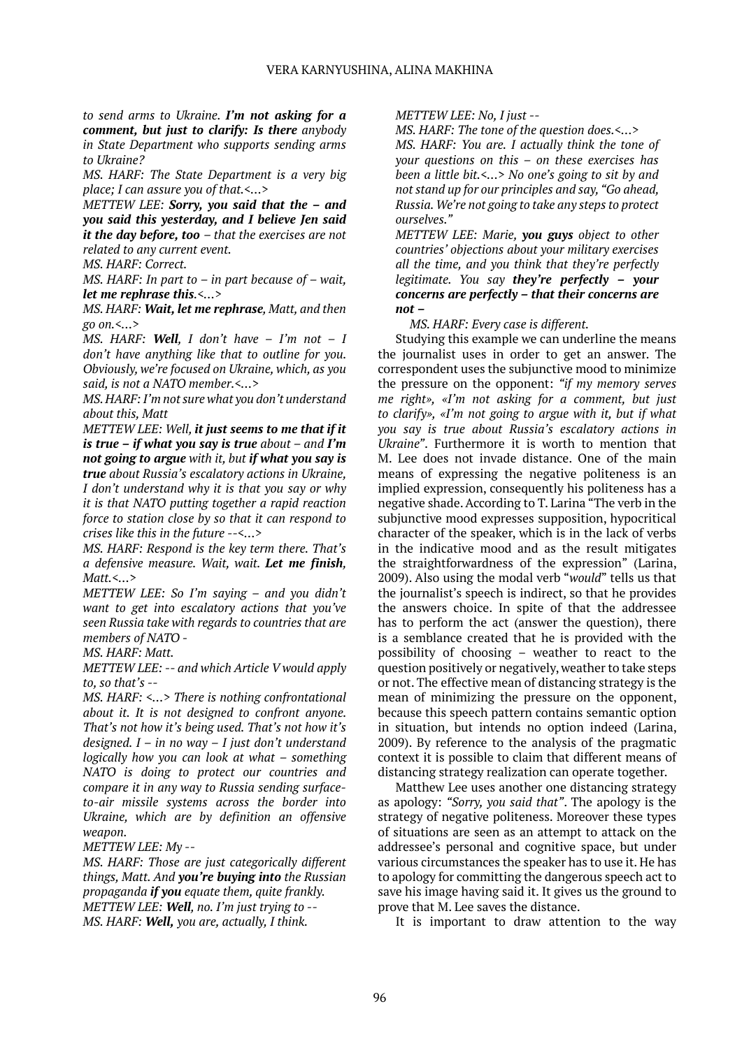*to send arms to Ukraine. I'm not asking for a comment, but just to clarify: Is there anybody in State Department who supports sending arms to Ukraine?*

*MS. HARF: The State Department is a very big place; I can assure you of that.<…>*

*METTEW LEE: Sorry, you said that the – and you said this yesterday, and I believe Jen said it the day before, too – that the exercises are not related to any current event.*

*MS. HARF: Correct.*

*MS. HARF: In part to – in part because of – wait, let me rephrase this.<…>*

*MS. HARF: Wait, let me rephrase, Matt, and then go on.<…>*

*MS. HARF: Well, I don't have – I'm not – I don't have anything like that to outline for you. Obviously, we're focused on Ukraine, which, as you said, is not a NATO member.<…>*

*MS. HARF: I'm not sure what you don't understand about this, Matt*

*METTEW LEE: Well, it just seems to me that if it is true – if what you say is true about – and I'm not going to argue with it, but if what you say is true about Russia's escalatory actions in Ukraine, I don't understand why it is that you say or why it is that NATO putting together a rapid reaction force to station close by so that it can respond to crises like this in the future --<…>*

*MS. HARF: Respond is the key term there. That's a defensive measure. Wait, wait. Let me finish, Matt.<…>*

*METTEW LEE: So I'm saying – and you didn't want to get into escalatory actions that you've seen Russia take with regards to countries that are members of NATO -*

*MS. HARF: Matt.*

*METTEW LEE: -- and which Article V would apply to, so that's --*

*MS. HARF: <…> There is nothing confrontational about it. It is not designed to confront anyone. That's not how it's being used. That's not how it's designed. I – in no way – I just don't understand logically how you can look at what – something NATO is doing to protect our countries and compare it in any way to Russia sending surfaceto-air missile systems across the border into Ukraine, which are by definition an offensive weapon.*

*METTEW LEE: My --*

*MS. HARF: Those are just categorically different things, Matt. And you're buying into the Russian propaganda if you equate them, quite frankly. METTEW LEE: Well, no. I'm just trying to -- MS. HARF: Well, you are, actually, I think.*

*METTEW LEE: No, I just --*

*MS. HARF: The tone of the question does.<…>*

*MS. HARF: You are. I actually think the tone of your questions on this – on these exercises has been a little bit.<…> No one's going to sit by and not stand up for our principles and say, "Go ahead, Russia. We're not going to take any steps to protect ourselves."* 

*METTEW LEE: Marie, you guys object to other countries' objections about your military exercises all the time, and you think that they're perfectly legitimate. You say they're perfectly – your concerns are perfectly – that their concerns are not –*

*MS. HARF: Every case is different.*

Studying this example we can underline the means the journalist uses in order to get an answer. The correspondent uses the subjunctive mood to minimize the pressure on the opponent: *"if my memory serves me right», «I'm not asking for a comment, but just to clarify», «I'm not going to argue with it, but if what you say is true about Russia's escalatory actions in Ukraine"*. Furthermore it is worth to mention that M. Lee does not invade distance. One of the main means of expressing the negative politeness is an implied expression, consequently his politeness has a negative shade. According to T. Larina "The verb in the subjunctive mood expresses supposition, hypocritical character of the speaker, which is in the lack of verbs in the indicative mood and as the result mitigates the straightforwardness of the expression" (Larina, 2009). Also using the modal verb "*would*" tells us that the journalist's speech is indirect, so that he provides the answers choice. In spite of that the addressee has to perform the act (answer the question), there is a semblance created that he is provided with the possibility of choosing – weather to react to the question positively or negatively, weather to take steps or not. The effective mean of distancing strategy is the mean of minimizing the pressure on the opponent, because this speech pattern contains semantic option in situation, but intends no option indeed (Larina, 2009). By reference to the analysis of the pragmatic context it is possible to claim that different means of distancing strategy realization can operate together.

Matthew Lee uses another one distancing strategy as apology: *"Sorry, you said that"*. The apology is the strategy of negative politeness. Moreover these types of situations are seen as an attempt to attack on the addressee's personal and cognitive space, but under various circumstances the speaker has to use it. He has to apology for committing the dangerous speech act to save his image having said it. It gives us the ground to prove that M. Lee saves the distance.

It is important to draw attention to the way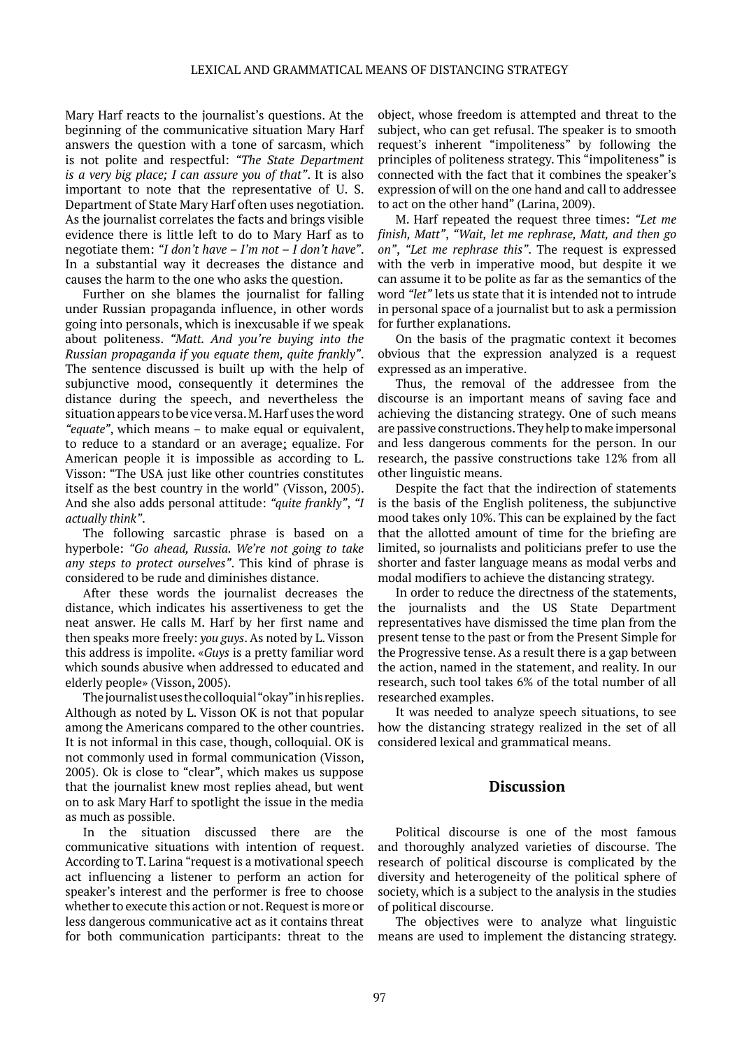Mary Harf reacts to the journalist's questions. At the beginning of the communicative situation Mary Harf answers the question with a tone of sarcasm, which is not polite and respectful: *"The State Department is a very big place; I can assure you of that"*. It is also important to note that the representative of U. S. Department of State Mary Harf often uses negotiation. As the journalist correlates the facts and brings visible evidence there is little left to do to Mary Harf as to negotiate them: *"I don't have – I'm not – I don't have"*. In a substantial way it decreases the distance and causes the harm to the one who asks the question.

Further on she blames the journalist for falling under Russian propaganda influence, in other words going into personals, which is inexcusable if we speak about politeness. *"Matt. And you're buying into the Russian propaganda if you equate them, quite frankly"*. The sentence discussed is built up with the help of subjunctive mood, consequently it determines the distance during the speech, and nevertheless the situation appears to be vice versa. M. Harf uses the word *"equate"*, which means – to make equal or equivalent, to reduce to a standard or an average; equalize. For American people it is impossible as according to L. Visson: "The USA just like other countries constitutes itself as the best country in the world" (Visson, 2005). And she also adds personal attitude: *"quite frankly"*, *"I actually think"*.

The following sarcastic phrase is based on a hyperbole: *"Go ahead, Russia. We're not going to take any steps to protect ourselves"*. This kind of phrase is considered to be rude and diminishes distance.

After these words the journalist decreases the distance, which indicates his assertiveness to get the neat answer. He calls M. Harf by her first name and then speaks more freely: *you guys*. As noted by L. Visson this address is impolite. «*Guys* is a pretty familiar word which sounds abusive when addressed to educated and elderly people» (Visson, 2005).

The journalist uses the colloquial "okay" in his replies. Although as noted by L. Visson OK is not that popular among the Americans compared to the other countries. It is not informal in this case, though, colloquial. OK is not commonly used in formal communication (Visson, 2005). Ok is close to "clear", which makes us suppose that the journalist knew most replies ahead, but went on to ask Mary Harf to spotlight the issue in the media as much as possible.

In the situation discussed there are the communicative situations with intention of request. According to T. Larina "request is a motivational speech act influencing a listener to perform an action for speaker's interest and the performer is free to choose whether to execute this action or not. Request is more or less dangerous communicative act as it contains threat for both communication participants: threat to the

object, whose freedom is attempted and threat to the subject, who can get refusal. The speaker is to smooth request's inherent "impoliteness" by following the principles of politeness strategy. This "impoliteness" is connected with the fact that it combines the speaker's expression of will on the one hand and call to addressee to act on the other hand" (Larina, 2009).

M. Harf repeated the request three times: *"Let me finish, Matt"*, *"Wait, let me rephrase, Matt, and then go on"*, *"Let me rephrase this"*. The request is expressed with the verb in imperative mood, but despite it we can assume it to be polite as far as the semantics of the word *"let"* lets us state that it is intended not to intrude in personal space of a journalist but to ask a permission for further explanations.

On the basis of the pragmatic context it becomes obvious that the expression analyzed is a request expressed as an imperative.

Thus, the removal of the addressee from the discourse is an important means of saving face and achieving the distancing strategy. One of such means are passive constructions. They help to make impersonal and less dangerous comments for the person. In our research, the passive constructions take 12% from all other linguistic means.

Despite the fact that the indirection of statements is the basis of the English politeness, the subjunctive mood takes only 10%. This can be explained by the fact that the allotted amount of time for the briefing are limited, so journalists and politicians prefer to use the shorter and faster language means as modal verbs and modal modifiers to achieve the distancing strategy.

In order to reduce the directness of the statements, the journalists and the US State Department representatives have dismissed the time plan from the present tense to the past or from the Present Simple for the Progressive tense. As a result there is a gap between the action, named in the statement, and reality. In our research, such tool takes 6% of the total number of all researched examples.

It was needed to analyze speech situations, to see how the distancing strategy realized in the set of all considered lexical and grammatical means.

### **Discussion**

Political discourse is one of the most famous and thoroughly analyzed varieties of discourse. The research of political discourse is complicated by the diversity and heterogeneity of the political sphere of society, which is a subject to the analysis in the studies of political discourse.

The objectives were to analyze what linguistic means are used to implement the distancing strategy.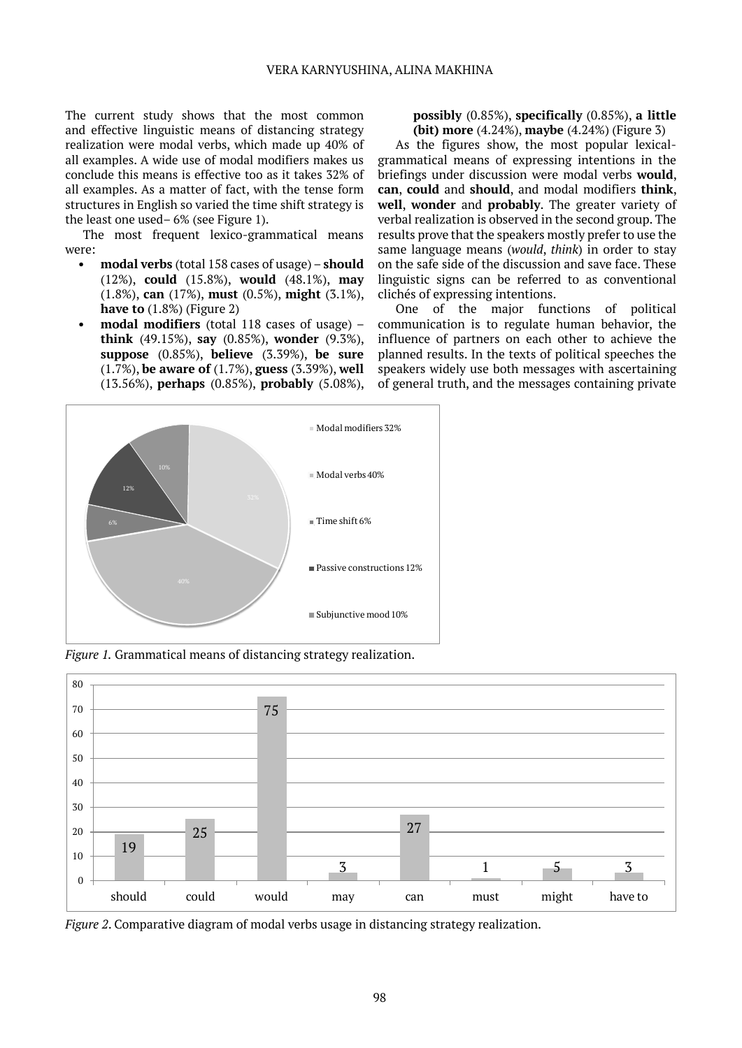The current study shows that the most common and effective linguistic means of distancing strategy realization were modal verbs, which made up 40% of all examples. A wide use of modal modifiers makes us conclude this means is effective too as it takes 32% of all examples. As a matter of fact, with the tense form structures in English so varied the time shift strategy is the least one used– 6% (see Figure 1).

The most frequent lexico-grammatical means were:

- **• modal verbs** (total 158 cases of usage) **should** (12%), **could** (15.8%), **would** (48.1%), **may** (1.8%), **can** (17%), **must** (0.5%), **might** (3.1%), **have to** (1.8%) (Figure 2)
- **• modal modifiers** (total 118 cases of usage) **think** (49.15%), **say** (0.85%), **wonder** (9.3%), **suppose** (0.85%), **believe** (3.39%), **be sure**  (1.7%), **be aware of** (1.7%), **guess** (3.39%), **well**  (13.56%), **perhaps** (0.85%), **probably** (5.08%),

#### **possibly** (0.85%), **specifically** (0.85%), **a little (bit) more** (4.24%), **maybe** (4.24%) (Figure 3)

As the figures show, the most popular lexicalgrammatical means of expressing intentions in the briefings under discussion were modal verbs **would**, **can**, **could** and **should**, and modal modifiers **think**, **well**, **wonder** and **probably**. The greater variety of verbal realization is observed in the second group. The results prove that the speakers mostly prefer to use the same language means (*would*, *think*) in order to stay on the safe side of the discussion and save face. These linguistic signs can be referred to as conventional clichés of expressing intentions.

One of the major functions of political communication is to regulate human behavior, the influence of partners on each other to achieve the planned results. In the texts of political speeches the speakers widely use both messages with ascertaining of general truth, and the messages containing private



*Figure 1.* Grammatical means of distancing strategy realization.



*Figure 2*. Comparative diagram of modal verbs usage in distancing strategy realization.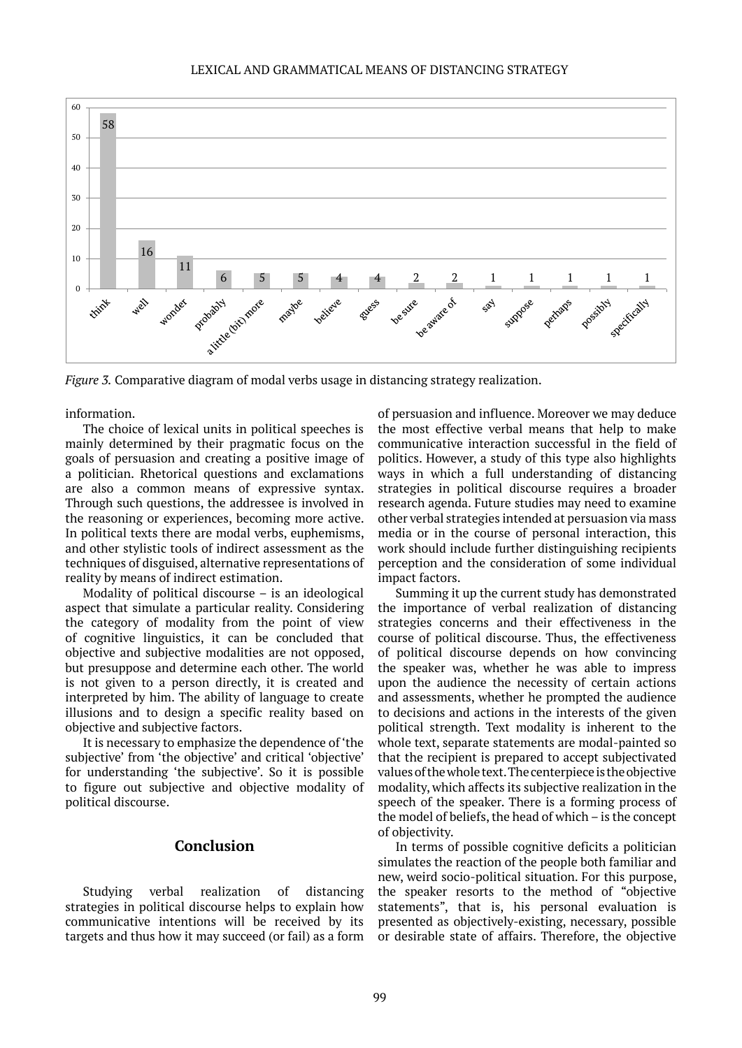#### LEXICAL AND GRAMMATICAL MEANS OF DISTANCING STRATEGY



*Figure 3.* Comparative diagram of modal verbs usage in distancing strategy realization.

information.

The choice of lexical units in political speeches is mainly determined by their pragmatic focus on the goals of persuasion and creating a positive image of a politician. Rhetorical questions and exclamations are also a common means of expressive syntax. Through such questions, the addressee is involved in the reasoning or experiences, becoming more active. In political texts there are modal verbs, euphemisms, and other stylistic tools of indirect assessment as the techniques of disguised, alternative representations of reality by means of indirect estimation.

Modality of political discourse – is an ideological aspect that simulate a particular reality. Considering the category of modality from the point of view of cognitive linguistics, it can be concluded that objective and subjective modalities are not opposed, but presuppose and determine each other. The world is not given to a person directly, it is created and interpreted by him. The ability of language to create illusions and to design a specific reality based on objective and subjective factors.

It is necessary to emphasize the dependence of 'the subjective' from 'the objective' and critical 'objective' for understanding 'the subjective'. So it is possible to figure out subjective and objective modality of political discourse.

# **Conclusion**

Studying verbal realization of distancing strategies in political discourse helps to explain how communicative intentions will be received by its targets and thus how it may succeed (or fail) as a form

of persuasion and influence. Moreover we may deduce the most effective verbal means that help to make communicative interaction successful in the field of politics. However, a study of this type also highlights ways in which a full understanding of distancing strategies in political discourse requires a broader research agenda. Future studies may need to examine other verbal strategies intended at persuasion via mass media or in the course of personal interaction, this work should include further distinguishing recipients perception and the consideration of some individual impact factors.

Summing it up the current study has demonstrated the importance of verbal realization of distancing strategies concerns and their effectiveness in the course of political discourse. Thus, the effectiveness of political discourse depends on how convincing the speaker was, whether he was able to impress upon the audience the necessity of certain actions and assessments, whether he prompted the audience to decisions and actions in the interests of the given political strength. Text modality is inherent to the whole text, separate statements are modal-painted so that the recipient is prepared to accept subjectivated values of the whole text. The centerpiece is the objective modality, which affects its subjective realization in the speech of the speaker. There is a forming process of the model of beliefs, the head of which – is the concept of objectivity.

In terms of possible cognitive deficits a politician simulates the reaction of the people both familiar and new, weird socio-political situation. For this purpose, the speaker resorts to the method of "objective statements", that is, his personal evaluation is presented as objectively-existing, necessary, possible or desirable state of affairs. Therefore, the objective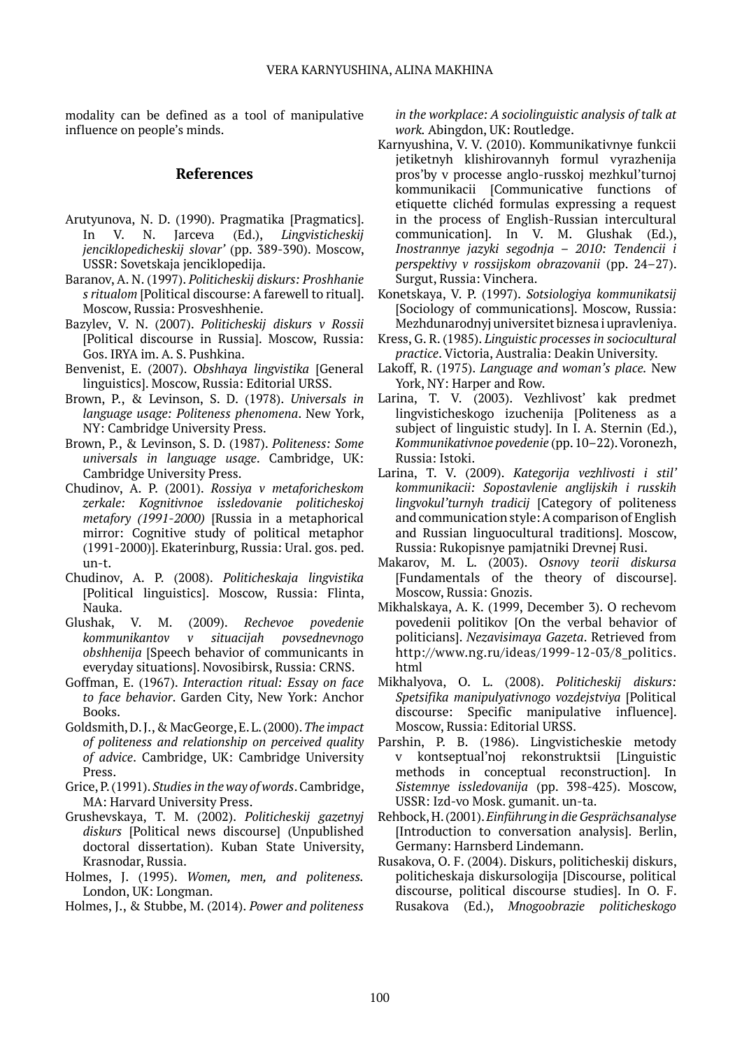modality can be defined as a tool of manipulative influence on people's minds.

### **References**

- Arutyunova, N. D. (1990). Pragmatika [Pragmatics]. In V. N. Jarceva (Ed.), *Lingvisticheskij jenciklopedicheskij slovar'* (pp. 389-390). Moscow, USSR: Sovetskaja jenciklopedija.
- Baranov, A. N. (1997). *Politicheskij diskurs: Proshhanie s ritualom* [Political discourse: A farewell to ritual]. Moscow, Russia: Prosveshhenie.
- Bazylev, V. N. (2007). *Politicheskij diskurs v Rossii* [Political discourse in Russia]. Moscow, Russia: Gos. IRYA im. А. S. Pushkina.
- Benvenist, E. (2007). *Obshhaya lingvistika* [General linguistics]. Moscow, Russia: Editorial URSS.
- Brown, P., & Levinson, S. D. (1978). *Universals in language usage: Politeness phenomena*. New York, NY: Cambridge University Press.
- Brown, P., & Levinson, S. D. (1987). *Politeness: Some universals in language usage*. Cambridge, UK: Cambridge University Press.
- Chudinov, A. P. (2001). *Rossiya v metaforicheskom zerkale: Kognitivnoe issledovanie politicheskoj metafory (1991-2000)* [Russia in a metaphorical mirror: Cognitive study of political metaphor (1991-2000)]. Ekaterinburg, Russia: Ural. gos. ped. un-t.
- Chudinov, A. P. (2008). *Politicheskaja lingvistika* [Political linguistics]. Moscow, Russia: Flinta, Nauka.
- Glushak, V. M. (2009). *Rechevoe povedenie kommunikantov v situacijah povsednevnogo obshhenija* [Speech behavior of communicants in everyday situations]. Novosibirsk, Russia: CRNS.
- Goffman, E. (1967). *Interaction ritual: Essay on face to face behavior*. Garden City, New York: Anchor Books.
- Goldsmith, D. J., & MacGeorge, E. L. (2000). *The impact of politeness and relationship on perceived quality of advice*. Cambridge, UK: Cambridge University Press.
- Grice, P. (1991). *Studies in the way of words*. Cambridge, MA: Harvard University Press.
- Grushevskaya, T. M. (2002). *Politicheskij gazetnyj diskurs* [Political news discourse] (Unpublished doctoral dissertation). Kuban State University, Krasnodar, Russia.
- Holmes, J. (1995). *Women, men, and politeness.* London, UK: Longman.
- Holmes, J., & Stubbe, M. (2014). *Power and politeness*

*in the workplace: A sociolinguistic analysis of talk at work.* Abingdon, UK: Routledge.

- Karnyushina, V. V. (2010). Kommunikativnye funkcii jetiketnyh klishirovannyh formul vyrazhenija pros'by v processe anglo-russkoj mezhkul'turnoj kommunikacii [Communicative functions of etiquette clichéd formulas expressing a request in the process of English-Russian intercultural communication]. In V. M. Glushak (Ed.), *Inostrannye jazyki segodnja* – *2010: Tendencii i perspektivy v rossijskom obrazovanii* (pp. 24–27). Surgut, Russia: Vinchera.
- Konetskaya, V. P. (1997). *Sotsiologiya kommunikatsij*  [Sociology of communications]. Moscow, Russia: Mezhdunarodnyj universitet biznesa i upravleniya.
- Kress, G. R. (1985). *Linguistic processes in sociocultural practice*. Victoria, Australia: Deakin University.
- Lakoff, R. (1975). *Language and woman's place.* New York, NY: Harper and Row.
- Larina, T. V. (2003). Vezhlivost' kak predmet lingvisticheskogo izuchenija [Politeness as a subject of linguistic study]. In I. A. Sternin (Ed.), *Kommunikativnoe povedenie* (pp. 10–22). Voronezh, Russia: Istoki.
- Larina, T. V. (2009). *Kategorija vezhlivosti i stil' kommunikacii: Sopostavlenie anglijskih i russkih lingvokul'turnyh tradicij* [Category of politeness and communication style: A comparison of English and Russian linguocultural traditions]. Moscow, Russia: Rukopisnye pamjatniki Drevnej Rusi.
- Makarov, M. L. (2003). *Osnovy teorii diskursa* [Fundamentals of the theory of discourse]. Moscow, Russia: Gnozis.
- Mikhalskaya, A. K. (1999, December 3). O rechevom povedenii politikov [On the verbal behavior of politicians]. *Nezavisimaya Gazeta*. Retrieved from http://www.ng.ru/ideas/1999-12-03/8 politics. html
- Mikhalyova, O. L. (2008). *Politicheskij diskurs: Spetsifika mаnipulyativnogo vozdejstviya* [Political discourse: Specific manipulative influence]. Moscow, Russia: Editorial URSS.
- Parshin, P. B. (1986). Lingvisticheskie metody v kontseptual'noj rekonstruktsii [Linguistic methods in conceptual reconstruction]. In *Sistemnye issledovanija* (pp. 398-425). Moscow, USSR: Izd-vo Mosk. gumanit. un-ta.
- Rehbock, H. (2001). *Einführung in die Gesprächsanalyse* [Introduction to conversation analysis]. Berlin, Germany: Harnsberd Lindemann.
- Rusakova, O. F. (2004). Diskurs, politicheskij diskurs, politicheskaja diskursologija [Discourse, political discourse, political discourse studies]. In O. F. Rusakova (Ed.), *Mnogoobrazie politicheskogo*